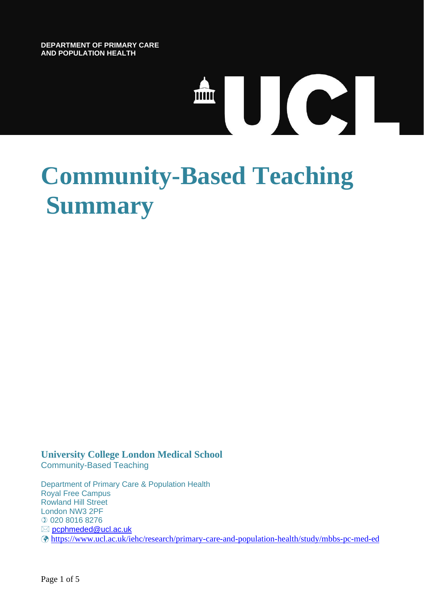**DEPARTMENT OF PRIMARY CARE AND POPULATION HEALTH**

# 

# **Community-Based Teaching Summary**

**University College London Medical School** Community-Based Teaching

Department of Primary Care & Population Health Royal Free Campus Rowland Hill Street London NW3 2PF 020 8016 8276 ⊠ [pcphmeded@ucl.ac.uk](mailto:pcphmeded@ucl.ac.uk) <https://www.ucl.ac.uk/iehc/research/primary-care-and-population-health/study/mbbs-pc-med-ed>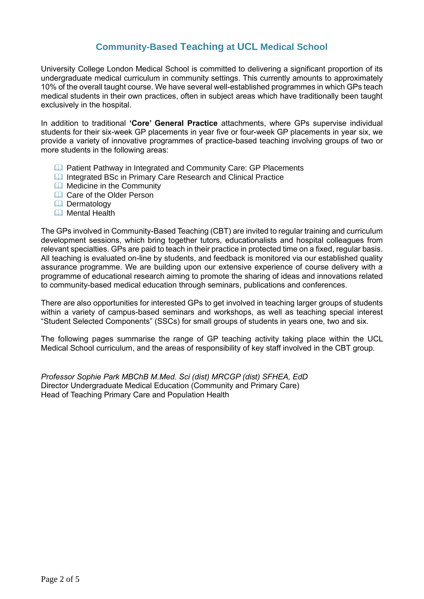#### **Community-Based Teaching at UCL Medical School**

University College London Medical School is committed to delivering a significant proportion of its undergraduate medical curriculum in community settings. This currently amounts to approximately 10% of the overall taught course. We have several well-established programmes in which GPs teach medical students in their own practices, often in subject areas which have traditionally been taught exclusively in the hospital.

In addition to traditional **'Core' General Practice** attachments, where GPs supervise individual students for their six-week GP placements in year five or four-week GP placements in year six, we provide a variety of innovative programmes of practice-based teaching involving groups of two or more students in the following areas:

- **Patient Pathway in Integrated and Community Care: GP Placements**
- **E** Integrated BSc in Primary Care Research and Clinical Practice
- **E** Medicine in the Community
- **Care of the Older Person**
- **Dermatology**
- **Mental Health**

The GPs involved in Community-Based Teaching (CBT) are invited to regular training and curriculum development sessions, which bring together tutors, educationalists and hospital colleagues from relevant specialties. GPs are paid to teach in their practice in protected time on a fixed, regular basis. All teaching is evaluated on-line by students, and feedback is monitored via our established quality assurance programme. We are building upon our extensive experience of course delivery with a programme of educational research aiming to promote the sharing of ideas and innovations related to community-based medical education through seminars, publications and conferences.

There are also opportunities for interested GPs to get involved in teaching larger groups of students within a variety of campus-based seminars and workshops, as well as teaching special interest "Student Selected Components" (SSCs) for small groups of students in years one, two and six.

The following pages summarise the range of GP teaching activity taking place within the UCL Medical School curriculum, and the areas of responsibility of key staff involved in the CBT group.

*Professor Sophie Park MBChB M.Med. Sci (dist) MRCGP (dist) SFHEA, EdD*  Director Undergraduate Medical Education (Community and Primary Care) Head of Teaching Primary Care and Population Health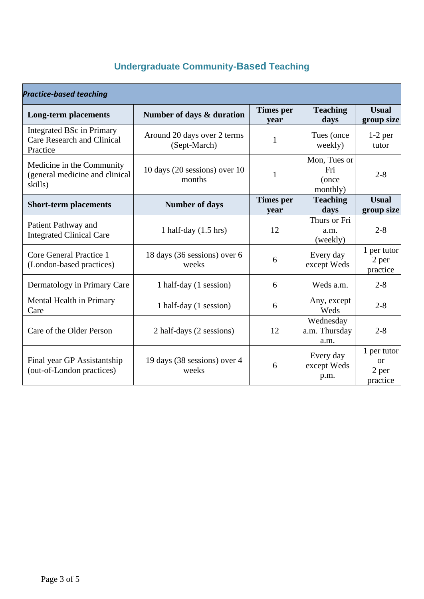## **Undergraduate Community-Based Teaching**

| <b>Practice-based teaching</b>                                         |                                             |                          |                                          |                                               |
|------------------------------------------------------------------------|---------------------------------------------|--------------------------|------------------------------------------|-----------------------------------------------|
| <b>Long-term placements</b>                                            | Number of days & duration                   | <b>Times per</b><br>year | <b>Teaching</b><br>days                  | <b>Usual</b><br>group size                    |
| Integrated BSc in Primary<br>Care Research and Clinical<br>Practice    | Around 20 days over 2 terms<br>(Sept-March) | 1                        | Tues (once<br>weekly)                    | $1-2$ per<br>tutor                            |
| Medicine in the Community<br>(general medicine and clinical<br>skills) | 10 days (20 sessions) over 10<br>months     | 1                        | Mon, Tues or<br>Fri<br>(once<br>monthly) | $2 - 8$                                       |
| <b>Short-term placements</b>                                           | <b>Number of days</b>                       | Times per<br>year        | <b>Teaching</b><br>days                  | <b>Usual</b><br>group size                    |
| Patient Pathway and<br><b>Integrated Clinical Care</b>                 | 1 half-day $(1.5 \text{ hrs})$              | 12                       | Thurs or Fri<br>a.m.<br>(weekly)         | $2 - 8$                                       |
| Core General Practice 1<br>(London-based practices)                    | 18 days (36 sessions) over 6<br>weeks       | 6                        | Every day<br>except Weds                 | 1 per tutor<br>2 per<br>practice              |
| Dermatology in Primary Care                                            | 1 half-day (1 session)                      | 6                        | Weds a.m.                                | $2 - 8$                                       |
| Mental Health in Primary<br>Care                                       | 1 half-day (1 session)                      | 6                        | Any, except<br>Weds                      | $2 - 8$                                       |
| Care of the Older Person                                               | 2 half-days (2 sessions)                    | 12                       | Wednesday<br>a.m. Thursday<br>a.m.       | $2 - 8$                                       |
| Final year GP Assistantship<br>(out-of-London practices)               | 19 days (38 sessions) over 4<br>weeks       | 6                        | Every day<br>except Weds<br>p.m.         | 1 per tutor<br><b>or</b><br>2 per<br>practice |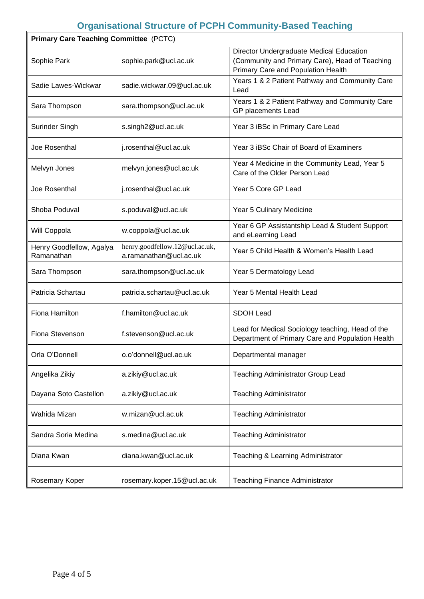## **Organisational Structure of PCPH Community-Based Teaching**

| sigamodilonal oli dotal oli 1 lohti loominamity |                                                          |                                                                                                                                  |  |  |
|-------------------------------------------------|----------------------------------------------------------|----------------------------------------------------------------------------------------------------------------------------------|--|--|
| <b>Primary Care Teaching Committee (PCTC)</b>   |                                                          |                                                                                                                                  |  |  |
| Sophie Park                                     | sophie.park@ucl.ac.uk                                    | Director Undergraduate Medical Education<br>(Community and Primary Care), Head of Teaching<br>Primary Care and Population Health |  |  |
| Sadie Lawes-Wickwar                             | sadie.wickwar.09@ucl.ac.uk                               | Years 1 & 2 Patient Pathway and Community Care<br>Lead                                                                           |  |  |
| Sara Thompson                                   | sara.thompson@ucl.ac.uk                                  | Years 1 & 2 Patient Pathway and Community Care<br>GP placements Lead                                                             |  |  |
| Surinder Singh                                  | s.singh2@ucl.ac.uk                                       | Year 3 iBSc in Primary Care Lead                                                                                                 |  |  |
| Joe Rosenthal                                   | j.rosenthal@ucl.ac.uk                                    | Year 3 iBSc Chair of Board of Examiners                                                                                          |  |  |
| Melvyn Jones                                    | melvyn.jones@ucl.ac.uk                                   | Year 4 Medicine in the Community Lead, Year 5<br>Care of the Older Person Lead                                                   |  |  |
| Joe Rosenthal                                   | j.rosenthal@ucl.ac.uk                                    | Year 5 Core GP Lead                                                                                                              |  |  |
| Shoba Poduval                                   | s.poduval@ucl.ac.uk                                      | Year 5 Culinary Medicine                                                                                                         |  |  |
| Will Coppola                                    | w.coppola@ucl.ac.uk                                      | Year 6 GP Assistantship Lead & Student Support<br>and eLearning Lead                                                             |  |  |
| Henry Goodfellow, Agalya<br>Ramanathan          | henry.goodfellow.12@ucl.ac.uk,<br>a.ramanathan@ucl.ac.uk | Year 5 Child Health & Women's Health Lead                                                                                        |  |  |
| Sara Thompson                                   | sara.thompson@ucl.ac.uk                                  | Year 5 Dermatology Lead                                                                                                          |  |  |
| Patricia Schartau                               | patricia.schartau@ucl.ac.uk                              | Year 5 Mental Health Lead                                                                                                        |  |  |
| Fiona Hamilton                                  | f.hamilton@ucl.ac.uk                                     | <b>SDOH Lead</b>                                                                                                                 |  |  |
| Fiona Stevenson                                 | f.stevenson@ucl.ac.uk                                    | Lead for Medical Sociology teaching, Head of the<br>Department of Primary Care and Population Health                             |  |  |
| Orla O'Donnell                                  | o.o'donnell@ucl.ac.uk                                    | Departmental manager                                                                                                             |  |  |
| Angelika Zikiy                                  | a.zikiy@ucl.ac.uk                                        | Teaching Administrator Group Lead                                                                                                |  |  |
| Dayana Soto Castellon                           | a.zikiy@ucl.ac.uk                                        | <b>Teaching Administrator</b>                                                                                                    |  |  |
| Wahida Mizan                                    | w.mizan@ucl.ac.uk                                        | <b>Teaching Administrator</b>                                                                                                    |  |  |
| Sandra Soria Medina                             | s.medina@ucl.ac.uk                                       | <b>Teaching Administrator</b>                                                                                                    |  |  |
| Diana Kwan                                      | diana.kwan@ucl.ac.uk                                     | Teaching & Learning Administrator                                                                                                |  |  |
| Rosemary Koper                                  | rosemary.koper.15@ucl.ac.uk                              | <b>Teaching Finance Administrator</b>                                                                                            |  |  |